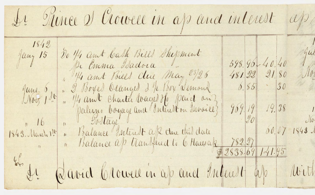Le Rinee et Crowell in ap and interest app  $1842$ Do 1/4 and bash Bills Shepment Jany 15 598.96.40.40 Pi Emma Isadora 1, 14 ans Bills clue May 23/26 481.22 21.80 June 6, 1 ", 2 Boyel Orangel 2 4 Boy Semand 0. 85 30 " 1/4 amit Charter Wagel He paiet an 969.19 19.38  $-\frac{9}{0}$ 11 16 11 Jostage 00.07 1843 1843. March 1st " Balance Interest ap du trid date Le david Crowell in ap and Intent ap Mith

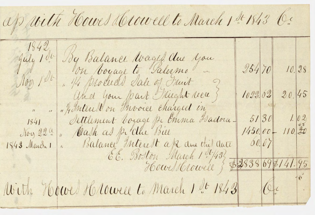ap with Howes Howell to March 1 st 1843 be 1842 By Balance Wages due you Nov 1 du 10 de 10 de la Valermo de  $954$  70  $10.98$ " 1/4 proceed date of Junit 1022.02. 20. 45 a librer your part Finght neue  $5130$ <br>1450.00 - 110.20 1841 Settlement boyage pr Emma Isadora-Noy 22", "Cash as picelle Biel 60.07 1843 Marche 1 " Balance Interest ap du this date 66. Boston March 1 1 432 - 2838 69 \$ 141.95 With Howel Holowee to March 1 St 1843 (C).